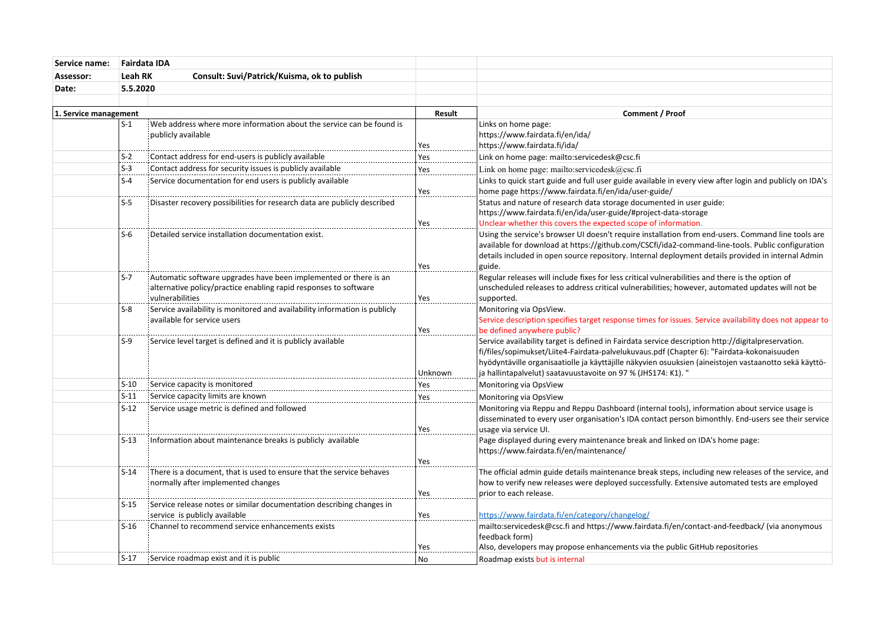| Service name:         | Fairdata IDA                                                  |                                                                                                                                                         |                        |                                                                                                                                                                                                                                                                                                                                                                            |
|-----------------------|---------------------------------------------------------------|---------------------------------------------------------------------------------------------------------------------------------------------------------|------------------------|----------------------------------------------------------------------------------------------------------------------------------------------------------------------------------------------------------------------------------------------------------------------------------------------------------------------------------------------------------------------------|
| Assessor:             | <b>Leah RK</b><br>Consult: Suvi/Patrick/Kuisma, ok to publish |                                                                                                                                                         |                        |                                                                                                                                                                                                                                                                                                                                                                            |
| Date:                 |                                                               | 5.5.2020                                                                                                                                                |                        |                                                                                                                                                                                                                                                                                                                                                                            |
|                       |                                                               |                                                                                                                                                         |                        |                                                                                                                                                                                                                                                                                                                                                                            |
| 1. Service management |                                                               | Result                                                                                                                                                  | <b>Comment / Proof</b> |                                                                                                                                                                                                                                                                                                                                                                            |
|                       | $S-1$                                                         | Web address where more information about the service can be found is<br>publicly available                                                              | Yes                    | Links on home page:<br>https://www.fairdata.fi/en/ida/<br>https://www.fairdata.fi/ida/                                                                                                                                                                                                                                                                                     |
|                       | $S-2$                                                         | Contact address for end-users is publicly available                                                                                                     | Yes                    | Link on home page: mailto:servicedesk@csc.fi                                                                                                                                                                                                                                                                                                                               |
|                       | $S-3$                                                         | Contact address for security issues is publicly available                                                                                               | Yes                    | Link on home page: mailto:servicedesk@csc.fi                                                                                                                                                                                                                                                                                                                               |
|                       | $S-4$                                                         | Service documentation for end users is publicly available                                                                                               | Yes                    | Links to quick start guide and full user guide available in every view after login and publicly on IDA's<br>home page https://www.fairdata.fi/en/ida/user-guide/                                                                                                                                                                                                           |
|                       | $S-5$                                                         | Disaster recovery possibilities for research data are publicly described                                                                                | Yes                    | Status and nature of research data storage documented in user guide:<br>https://www.fairdata.fi/en/ida/user-guide/#project-data-storage<br>Unclear whether this covers the expected scope of information.                                                                                                                                                                  |
|                       | $S-6$                                                         | Detailed service installation documentation exist                                                                                                       | Yes                    | Using the service's browser UI doesn't require installation from end-users. Command line tools are<br>available for download at https://github.com/CSCfi/ida2-command-line-tools. Public configuration<br>details included in open source repository. Internal deployment details provided in internal Admin<br>guide.                                                     |
|                       | $S-7$                                                         | Automatic software upgrades have been implemented or there is an<br>alternative policy/practice enabling rapid responses to software<br>vulnerabilities | Yes                    | Regular releases will include fixes for less critical vulnerabilities and there is the option of<br>unscheduled releases to address critical vulnerabilities; however, automated updates will not be<br>supported.                                                                                                                                                         |
|                       | $S-8$                                                         | Service availability is monitored and availability information is publicly<br>available for service users                                               | Yes                    | Monitoring via OpsView.<br>Service description specifies target response times for issues. Service availability does not appear to<br>be defined anywhere public?                                                                                                                                                                                                          |
|                       | $S-9$                                                         | Service level target is defined and it is publicly available                                                                                            | Unknown                | Service availability target is defined in Fairdata service description http://digitalpreservation.<br>fi/files/sopimukset/Liite4-Fairdata-palvelukuvaus.pdf (Chapter 6): "Fairdata-kokonaisuuden<br>hyödyntäville organisaatiolle ja käyttäjille näkyvien osuuksien (aineistojen vastaanotto sekä käyttö-<br>ja hallintapalvelut) saatavuustavoite on 97 % (JHS174: K1). " |
|                       | $S-10$                                                        | Service capacity is monitored                                                                                                                           | Yes                    | Monitoring via OpsView                                                                                                                                                                                                                                                                                                                                                     |
|                       | $S-11$                                                        | Service capacity limits are known                                                                                                                       | Yes                    | Monitoring via OpsView                                                                                                                                                                                                                                                                                                                                                     |
|                       | $S-12$                                                        | Service usage metric is defined and followed                                                                                                            | Yes                    | Monitoring via Reppu and Reppu Dashboard (internal tools), information about service usage is<br>disseminated to every user organisation's IDA contact person bimonthly. End-users see their service<br>usage via service UI.                                                                                                                                              |
|                       | $S-13$                                                        | Information about maintenance breaks is publicly available                                                                                              | Yes                    | Page displayed during every maintenance break and linked on IDA's home page:<br>https://www.fairdata.fi/en/maintenance/                                                                                                                                                                                                                                                    |
|                       | $S-14$                                                        | There is a document, that is used to ensure that the service behaves<br>normally after implemented changes                                              | Yes                    | The official admin guide details maintenance break steps, including new releases of the service, and<br>how to verify new releases were deployed successfully. Extensive automated tests are employed<br>prior to each release.                                                                                                                                            |
|                       | $S-15$                                                        | Service release notes or similar documentation describing changes in<br>service is publicly available                                                   | Yes                    | https://www.fairdata.fi/en/category/changelog/                                                                                                                                                                                                                                                                                                                             |
|                       | $S-16$                                                        | : Channel to recommend service enhancements exists                                                                                                      | Yes                    | mailto:servicedesk@csc.fi and https://www.fairdata.fi/en/contact-and-feedback/ (via anonymous<br>feedback form)<br>Also, developers may propose enhancements via the public GitHub repositories                                                                                                                                                                            |
|                       |                                                               | S-17 Service roadmap exist and it is public                                                                                                             | <b>No</b>              | Roadmap exists but is internal                                                                                                                                                                                                                                                                                                                                             |